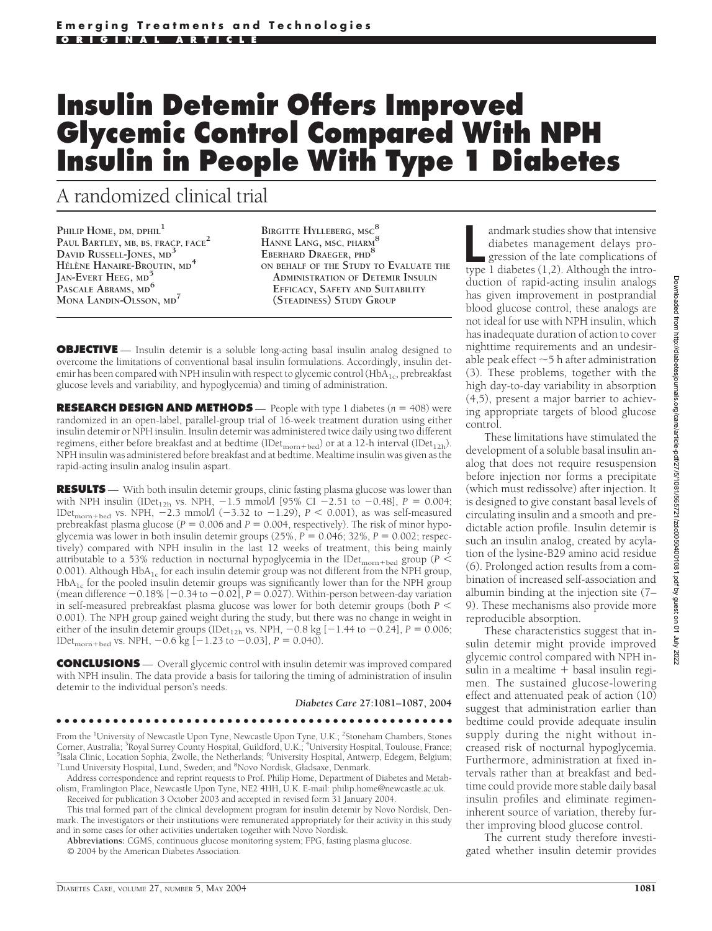# **Insulin Detemir Offers Improved Glycemic Control Compared With NPH Insulin in People With Type 1 Diabetes**

# A randomized clinical trial

**PHILIP HOME, DM, DPHIL<sup>1</sup> PAUL BARTLEY, MB, BS, FRACP, FACE<sup>2</sup> DAVID RUSSELL-JONES, MD<sup>3</sup> H´ELENE ` HANAIRE-BROUTIN, MD<sup>4</sup> JAN-EVERT HEEG, MD<sup>5</sup> PASCALE ABRAMS, MD<sup>6</sup> MONA LANDIN-OLSSON, MD<sup>7</sup>**

**BIRGITTE HYLLEBERG, MSC<sup>8</sup> HANNE LANG, MSC, PHARM<sup>8</sup> EBERHARD DRAEGER, PHD<sup>8</sup> ON BEHALF OF THE STUDY TO EVALUATE THE ADMINISTRATION OF DETEMIR INSULIN EFFICACY, SAFETY AND SUITABILITY (STEADINESS) STUDY GROUP**

**OBJECTIVE** — Insulin detemir is a soluble long-acting basal insulin analog designed to overcome the limitations of conventional basal insulin formulations. Accordingly, insulin detemir has been compared with NPH insulin with respect to glycemic control ( $HbA<sub>1c</sub>$ , prebreakfast glucose levels and variability, and hypoglycemia) and timing of administration.

**RESEARCH DESIGN AND METHODS** — People with type 1 diabetes ( $n = 408$ ) were randomized in an open-label, parallel-group trial of 16-week treatment duration using either insulin detemir or NPH insulin. Insulin detemir was administered twice daily using two different regimens, either before breakfast and at bedtime (IDet $_{\rm{mom+bed}}$ ) or at a 12-h interval (IDet $_{\rm{12h}}$ ). NPH insulin was administered before breakfast and at bedtime. Mealtime insulin was given as the rapid-acting insulin analog insulin aspart.

**RESULTS** — With both insulin detemir groups, clinic fasting plasma glucose was lower than with NPH insulin (IDet<sub>12h</sub> vs. NPH,  $-1.5$  mmol/l [95% CI  $-2.51$  to  $-0.48$ ],  $P = 0.004$ ; IDet<sub>morn+bed</sub> vs. NPH,  $-2.3$  mmol/l ( $-3.32$  to  $-1.29$ ),  $P < 0.001$ ), as was self-measured prebreakfast plasma glucose ( $P = 0.006$  and  $P = 0.004$ , respectively). The risk of minor hypoglycemia was lower in both insulin detemir groups  $(25\%, P = 0.046; 32\%, P = 0.002;$  respectively) compared with NPH insulin in the last 12 weeks of treatment, this being mainly attributable to a 53% reduction in nocturnal hypoglycemia in the IDet $_{\rm mom+bed}$  group ( $P<$ 0.001). Although HbA<sub>1c</sub> for each insulin detemir group was not different from the NPH group,  $HbA_{1c}$  for the pooled insulin detemir groups was significantly lower than for the NPH group (mean difference  $-0.18\%$   $[-0.34$  to  $-0.02$ ],  $P = 0.027$ ). Within-person between-day variation in self-measured prebreakfast plasma glucose was lower for both detemir groups (both *P* 0.001). The NPH group gained weight during the study, but there was no change in weight in either of the insulin detemir groups (IDet<sub>12h</sub> vs. NPH,  $-0.8$  kg [ $-1.44$  to  $-0.24$ ], *P* = 0.006; IDet<sub>morn+bed</sub> vs. NPH,  $-0.6$  kg  $[-1.23$  to  $-0.03]$ ,  $P = 0.040$ ).

**CONCLUSIONS** — Overall glycemic control with insulin detemir was improved compared with NPH insulin. The data provide a basis for tailoring the timing of administration of insulin detemir to the individual person's needs.

#### *Diabetes Care* **27:1081–1087, 2004**

#### ●●●●●●●●●●●●●●●●●●●●●●●●●●●●●●●●●●●●●●●●●●●●●●●●●

From the <sup>1</sup>University of Newcastle Upon Tyne, Newcastle Upon Tyne, U.K.; <sup>2</sup>Stoneham Chambers, Stones Corner, Australia; <sup>3</sup>Royal Surrey County Hospital, Guildford, U.K.; <sup>4</sup>University Hospital, Toulouse, France;<br><sup>5</sup>Isala Clinic, Location Sophia, Zwolle, the Netherlands: <sup>6</sup>University Hospital, Antwerp, Edegem, Relgium;  $^{5}$ Isala Clinic, Location Sophia, Zwolle, the Netherlands;  $^{6}$ University Hospital, Antwerp, Edegem, Belgium;<br><sup>71</sup> und University Hospital, Lund, Sweden: and  $^{8}$ Novo Nordisk, Gladsaxe, Denmark Lund University Hospital, Lund, Sweden; and <sup>8</sup>Novo Nordisk, Gladsaxe, Denmark.

Address correspondence and reprint requests to Prof. Philip Home, Department of Diabetes and Metabolism, Framlington Place, Newcastle Upon Tyne, NE2 4HH, U.K. E-mail: philip.home@newcastle.ac.uk. Received for publication 3 October 2003 and accepted in revised form 31 January 2004.

This trial formed part of the clinical development program for insulin detemir by Novo Nordisk, Denmark. The investigators or their institutions were remunerated appropriately for their activity in this study and in some cases for other activities undertaken together with Novo Nordisk.

**Abbreviations:** CGMS, continuous glucose monitoring system; FPG, fasting plasma glucose.

© 2004 by the American Diabetes Association.

andmark studies show that intensive diabetes management delays progression of the late complications of type 1 diabetes (1,2). Although the introandmark studies show that intensive diabetes management delays progression of the late complications of duction of rapid-acting insulin analogs has given improvement in postprandial blood glucose control, these analogs are not ideal for use with NPH insulin, which has inadequate duration of action to cover nighttime requirements and an undesirable peak effect  $\sim$  5 h after administration (3). These problems, together with the high day-to-day variability in absorption (4,5), present a major barrier to achieving appropriate targets of blood glucose control.

These limitations have stimulated the development of a soluble basal insulin analog that does not require resuspension before injection nor forms a precipitate (which must redissolve) after injection. It is designed to give constant basal levels of circulating insulin and a smooth and predictable action profile. Insulin detemir is such an insulin analog, created by acylation of the lysine-B29 amino acid residue (6). Prolonged action results from a combination of increased self-association and albumin binding at the injection site (7– 9). These mechanisms also provide more reproducible absorption.

These characteristics suggest that insulin detemir might provide improved glycemic control compared with NPH insulin in a mealtime + basal insulin regimen. The sustained glucose-lowering effect and attenuated peak of action (10) suggest that administration earlier than bedtime could provide adequate insulin supply during the night without increased risk of nocturnal hypoglycemia. Furthermore, administration at fixed intervals rather than at breakfast and bedtime could provide more stable daily basal insulin profiles and eliminate regimeninherent source of variation, thereby further improving blood glucose control.

The current study therefore investigated whether insulin detemir provides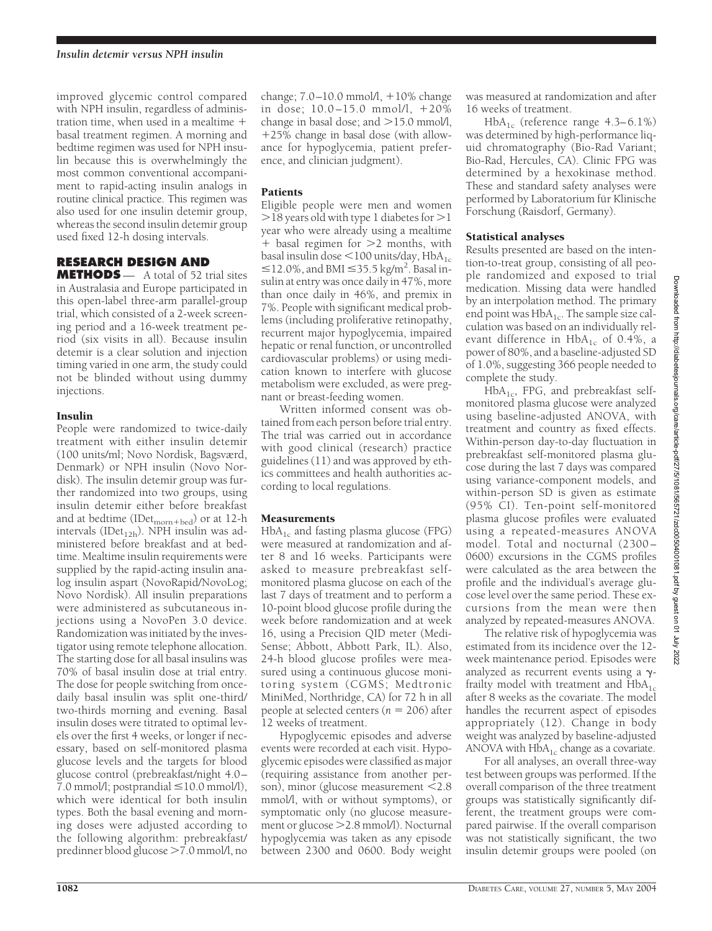improved glycemic control compared with NPH insulin, regardless of administration time, when used in a mealtime  $+$ basal treatment regimen. A morning and bedtime regimen was used for NPH insulin because this is overwhelmingly the most common conventional accompaniment to rapid-acting insulin analogs in routine clinical practice. This regimen was also used for one insulin detemir group, whereas the second insulin detemir group used fixed 12-h dosing intervals.

# **RESEARCH DESIGN AND**

**METHODS** — A total of 52 trial sites in Australasia and Europe participated in this open-label three-arm parallel-group trial, which consisted of a 2-week screening period and a 16-week treatment period (six visits in all). Because insulin detemir is a clear solution and injection timing varied in one arm, the study could not be blinded without using dummy injections.

#### Insulin

People were randomized to twice-daily treatment with either insulin detemir (100 units/ml; Novo Nordisk, Bagsværd, Denmark) or NPH insulin (Novo Nordisk). The insulin detemir group was further randomized into two groups, using insulin detemir either before breakfast and at bedtime (IDet<sub>morn+bed</sub>) or at 12-h intervals (IDet<sub>12h</sub>). NPH insulin was administered before breakfast and at bedtime. Mealtime insulin requirements were supplied by the rapid-acting insulin analog insulin aspart (NovoRapid/NovoLog; Novo Nordisk). All insulin preparations were administered as subcutaneous injections using a NovoPen 3.0 device. Randomization was initiated by the investigator using remote telephone allocation. The starting dose for all basal insulins was 70% of basal insulin dose at trial entry. The dose for people switching from oncedaily basal insulin was split one-third/ two-thirds morning and evening. Basal insulin doses were titrated to optimal levels over the first 4 weeks, or longer if necessary, based on self-monitored plasma glucose levels and the targets for blood glucose control (prebreakfast/night 4.0– 7.0 mmol/l; postprandial  $\leq 10.0$  mmol/l), which were identical for both insulin types. Both the basal evening and morning doses were adjusted according to the following algorithm: prebreakfast/ predinner blood glucose 7.0 mmol/l, no

change; 7.0-10.0 mmol/l, +10% change in dose; 10.0–15.0 mmol/l, +20% change in basal dose; and  $>15.0$  mmol/l, -25% change in basal dose (with allowance for hypoglycemia, patient preference, and clinician judgment).

## Patients

Eligible people were men and women  $>$ 18 years old with type 1 diabetes for  $>$ 1 year who were already using a mealtime + basal regimen for >2 months, with basal insulin dose  $\leq$  100 units/day, HbA<sub>1c</sub>  $\leq$ 12.0%, and BMI  $\leq$ 35.5 kg/m<sup>2</sup>. Basal insulin at entry was once daily in 47%, more than once daily in 46%, and premix in 7%. People with significant medical problems (including proliferative retinopathy, recurrent major hypoglycemia, impaired hepatic or renal function, or uncontrolled cardiovascular problems) or using medication known to interfere with glucose metabolism were excluded, as were pregnant or breast-feeding women.

Written informed consent was obtained from each person before trial entry. The trial was carried out in accordance with good clinical (research) practice guidelines (11) and was approved by ethics committees and health authorities according to local regulations.

#### Measurements

 $HbA_{1c}$  and fasting plasma glucose (FPG) were measured at randomization and after 8 and 16 weeks. Participants were asked to measure prebreakfast selfmonitored plasma glucose on each of the last 7 days of treatment and to perform a 10-point blood glucose profile during the week before randomization and at week 16, using a Precision QID meter (Medi-Sense; Abbott, Abbott Park, IL). Also, 24-h blood glucose profiles were measured using a continuous glucose monitoring system (CGMS; Medtronic MiniMed, Northridge, CA) for 72 h in all people at selected centers ( $n = 206$ ) after 12 weeks of treatment.

Hypoglycemic episodes and adverse events were recorded at each visit. Hypoglycemic episodes were classified as major (requiring assistance from another person), minor (glucose measurement  $\leq$ 2.8 mmol/l, with or without symptoms), or symptomatic only (no glucose measurement or glucose 2.8 mmol/l). Nocturnal hypoglycemia was taken as any episode between 2300 and 0600. Body weight

was measured at randomization and after 16 weeks of treatment.

 $HbA_{1c}$  (reference range 4.3–6.1%) was determined by high-performance liquid chromatography (Bio-Rad Variant; Bio-Rad, Hercules, CA). Clinic FPG was determined by a hexokinase method. These and standard safety analyses were performed by Laboratorium für Klinische Forschung (Raisdorf, Germany).

## Statistical analyses

Results presented are based on the intention-to-treat group, consisting of all people randomized and exposed to trial medication. Missing data were handled by an interpolation method. The primary end point was  $HbA_{1c}$ . The sample size calculation was based on an individually relevant difference in  $HbA_{1c}$  of 0.4%, a power of 80%, and a baseline-adjusted SD of 1.0%, suggesting 366 people needed to complete the study.

 $HbA_{1c}$ , FPG, and prebreakfast selfmonitored plasma glucose were analyzed using baseline-adjusted ANOVA, with treatment and country as fixed effects. Within-person day-to-day fluctuation in prebreakfast self-monitored plasma glucose during the last 7 days was compared using variance-component models, and within-person SD is given as estimate (95% CI). Ten-point self-monitored plasma glucose profiles were evaluated using a repeated-measures ANOVA model. Total and nocturnal (2300 – 0600) excursions in the CGMS profiles were calculated as the area between the profile and the individual's average glucose level over the same period. These excursions from the mean were then analyzed by repeated-measures ANOVA.

The relative risk of hypoglycemia was estimated from its incidence over the 12 week maintenance period. Episodes were analyzed as recurrent events using a  $\gamma$ frailty model with treatment and  $\bar{H}bA_{1c}$ after 8 weeks as the covariate. The model handles the recurrent aspect of episodes appropriately (12). Change in body weight was analyzed by baseline-adjusted ANOVA with  $HbA_{1c}$  change as a covariate.

For all analyses, an overall three-way test between groups was performed. If the overall comparison of the three treatment groups was statistically significantly different, the treatment groups were compared pairwise. If the overall comparison was not statistically significant, the two insulin detemir groups were pooled (on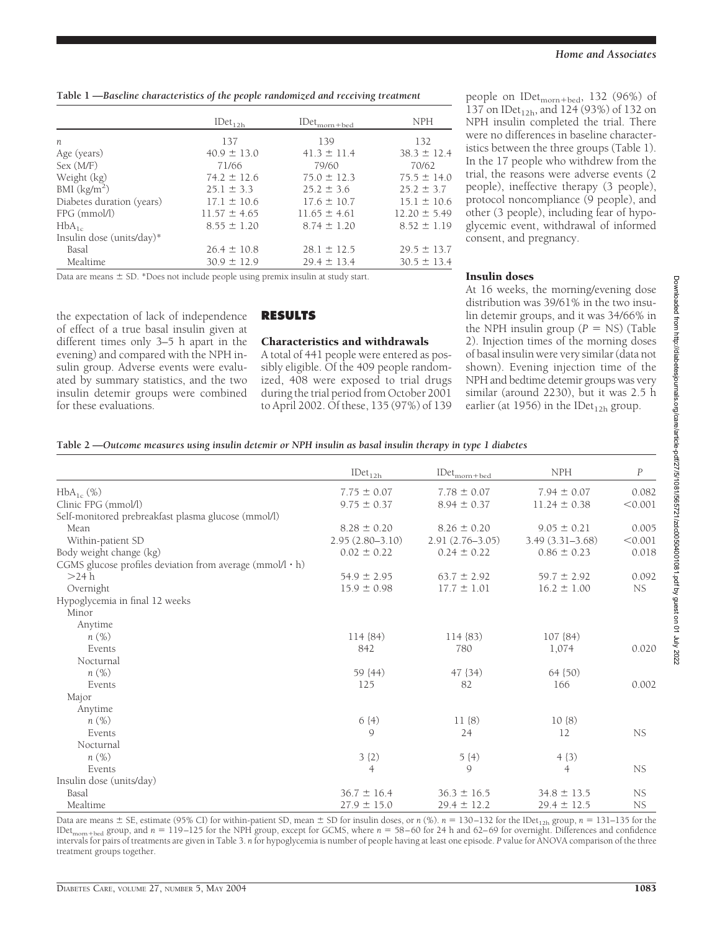Downloaded from http://diabetesjournals.org/care/article-pdf/27/5/1081/565721/zdc00504001081.pdf by guest on 01 July 2022Downloaded from http://diabetesjournals.org/care/article-pdf/27/5/1081/565721/zdc00504001081.pdf by guest on 01 July 2022

**Table 1 —***Baseline characteristics of the people randomized and receiving treatment*

|                           | IDet <sub>12h</sub> | $IDet$ <sub>morn</sub> $+$ bed | <b>NPH</b>       |
|---------------------------|---------------------|--------------------------------|------------------|
| n                         | 137                 | 139                            | 132              |
| Age (years)               | $40.9 \pm 13.0$     | $41.3 \pm 11.4$                | $38.3 \pm 12.4$  |
| Sex (M/F)                 | 71/66               | 79/60                          | 70/62            |
| Weight (kg)               | $74.2 \pm 12.6$     | $75.0 \pm 12.3$                | $75.5 \pm 14.0$  |
| BMI $(kg/m2)$             | $25.1 \pm 3.3$      | $25.2 \pm 3.6$                 | $25.2 \pm 3.7$   |
| Diabetes duration (years) | $17.1 \pm 10.6$     | $17.6 \pm 10.7$                | $15.1 \pm 10.6$  |
| $FPG$ (mmol/l)            | $11.57 \pm 4.65$    | $11.65 \pm 4.61$               | $12.20 \pm 5.49$ |
| $HbA_{1c}$                | $8.55 \pm 1.20$     | $8.74 \pm 1.20$                | $8.52 \pm 1.19$  |
| Insulin dose (units/day)* |                     |                                |                  |
| Basal                     | $26.4 \pm 10.8$     | $28.1 \pm 12.5$                | $29.5 \pm 13.7$  |
| Mealtime                  | $30.9 \pm 12.9$     | $29.4 \pm 13.4$                | $30.5 \pm 13.4$  |

Data are means  $\pm$  SD. \*Does not include people using premix insulin at study start.

the expectation of lack of independence of effect of a true basal insulin given at different times only 3–5 h apart in the evening) and compared with the NPH insulin group. Adverse events were evaluated by summary statistics, and the two insulin detemir groups were combined for these evaluations.

# **RESULTS**

# Characteristics and withdrawals

A total of 441 people were entered as possibly eligible. Of the 409 people randomized, 408 were exposed to trial drugs during the trial period from October 2001 to April 2002. Of these, 135 (97%) of 139

people on IDet<sub>morn+bed</sub>, 132 (96%) of 137 on IDet<sub>12h</sub>, and 124 (93%) of 132 on NPH insulin completed the trial. There were no differences in baseline characteristics between the three groups (Table 1). In the 17 people who withdrew from the trial, the reasons were adverse events (2 people), ineffective therapy (3 people), protocol noncompliance (9 people), and other (3 people), including fear of hypoglycemic event, withdrawal of informed consent, and pregnancy.

# Insulin doses

At 16 weeks, the morning/evening dose distribution was 39/61% in the two insulin detemir groups, and it was 34/66% in the NPH insulin group  $(P = NS)$  (Table 2). Injection times of the morning doses of basal insulin were very similar (data not shown). Evening injection time of the NPH and bedtime detemir groups was very similar (around 2230), but it was 2.5 h earlier (at 1956) in the IDet $_{12h}$  group.

#### **Table 2 —***Outcome measures using insulin detemir or NPH insulin as basal insulin therapy in type 1 diabetes*

|                                                                   | IDet <sub>12h</sub> | $IDet_{\text{mor}n + \text{bed}}$ | <b>NPH</b>          | $\overline{P}$ |
|-------------------------------------------------------------------|---------------------|-----------------------------------|---------------------|----------------|
| $HbA_{1c}$ (%)                                                    | $7.75 \pm 0.07$     | $7.78 \pm 0.07$                   | $7.94 \pm 0.07$     | 0.082          |
| Clinic FPG (mmol/l)                                               | $9.75 \pm 0.37$     | $8.94 \pm 0.37$                   | $11.24 \pm 0.38$    | < 0.001        |
| Self-monitored prebreakfast plasma glucose (mmol/l)               |                     |                                   |                     |                |
| Mean                                                              | $8.28 \pm 0.20$     | $8.26 \pm 0.20$                   | $9.05 \pm 0.21$     | 0.005          |
| Within-patient SD                                                 | $2.95(2.80 - 3.10)$ | $2.91(2.76 - 3.05)$               | $3.49(3.31 - 3.68)$ | < 0.001        |
| Body weight change (kg)                                           | $0.02 \pm 0.22$     | $0.24 \pm 0.22$                   | $0.86 \pm 0.23$     | 0.018          |
| CGMS glucose profiles deviation from average ( $mmol/l \cdot h$ ) |                     |                                   |                     |                |
| >24 h                                                             | $54.9 \pm 2.95$     | $63.7 \pm 2.92$                   | $59.7 \pm 2.92$     | 0.092          |
| Overnight                                                         | $15.9 \pm 0.98$     | $17.7 \pm 1.01$                   | $16.2 \pm 1.00$     | NS.            |
| Hypoglycemia in final 12 weeks                                    |                     |                                   |                     |                |
| Minor                                                             |                     |                                   |                     |                |
| Anytime                                                           |                     |                                   |                     |                |
| $n(\%)$                                                           | 114(84)             | 114(83)                           | 107(84)             |                |
| Events                                                            | 842                 | 780                               | 1,074               | 0.020          |
| Nocturnal                                                         |                     |                                   |                     |                |
| $n$ (%)                                                           | 59 (44)             | 47 (34)                           | 64 (50)             |                |
| Events                                                            | 125                 | 82                                | 166                 | 0.002          |
| Major                                                             |                     |                                   |                     |                |
| Anytime                                                           |                     |                                   |                     |                |
| $n(\%)$                                                           | 6(4)                | 11(8)                             | 10(8)               |                |
| Events                                                            | 9                   | 24                                | 12                  | <b>NS</b>      |
| Nocturnal                                                         |                     |                                   |                     |                |
| $n(\%)$                                                           | 3(2)                | 5(4)                              | 4(3)                |                |
| Events                                                            | $\overline{4}$      | 9                                 | $\overline{4}$      | <b>NS</b>      |
| Insulin dose (units/day)                                          |                     |                                   |                     |                |
| Basal                                                             | $36.7 \pm 16.4$     | $36.3 \pm 16.5$                   | $34.8 \pm 13.5$     | <b>NS</b>      |
| Mealtime                                                          | $27.9 \pm 15.0$     | $29.4 \pm 12.2$                   | $29.4 \pm 12.5$     | <b>NS</b>      |

Data are means  $\pm$  SE, estimate (95% CI) for within-patient SD, mean  $\pm$  SD for insulin doses, or *n* (%). *n* = 130–132 for the IDet<sub>12h</sub> group, *n* = 131–135 for the IDet<sub>morn+bed</sub> group, and *n* = 119–125 for the NPH group, except for GCMS, where *n* = 58–60 for 24 h and 62–69 for overnight. Differences and confidence intervals for pairs of treatments are given in Table 3. *n* for hypoglycemia is number of people having at least one episode. *P* value for ANOVA comparison of the three treatment groups together.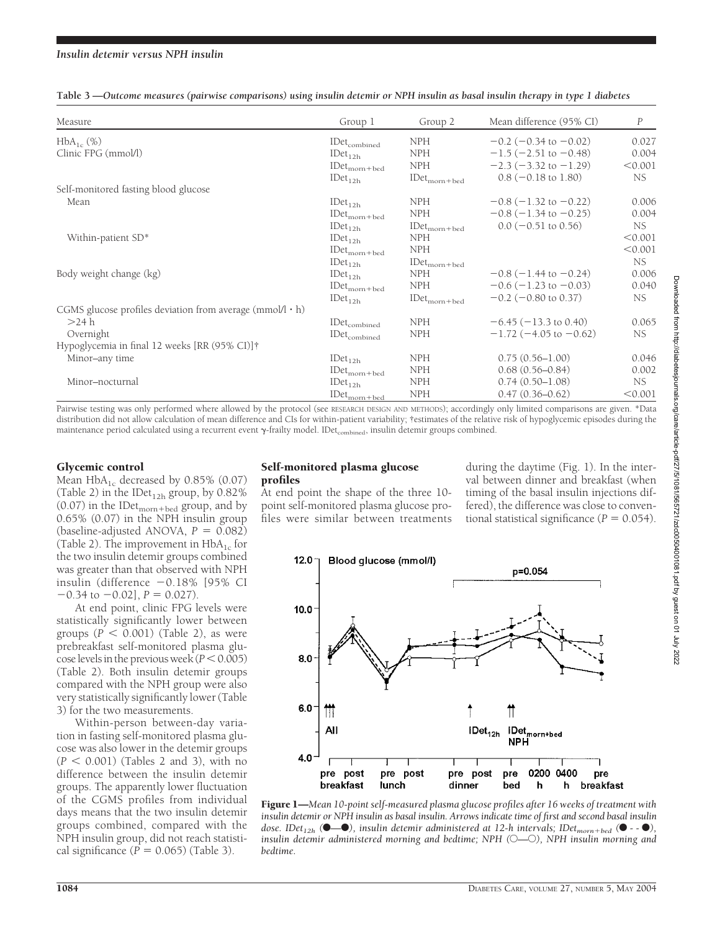#### *Insulin detemir versus NPH insulin*

| Measure                                                           | Group 1                    | Group 2                                      | Mean difference (95% CI)         | $\boldsymbol{P}$ |
|-------------------------------------------------------------------|----------------------------|----------------------------------------------|----------------------------------|------------------|
| $HbA_{1c}$ (%)                                                    | IDet <sub>combined</sub>   | <b>NPH</b>                                   | $-0.2$ ( $-0.34$ to $-0.02$ )    | 0.027            |
| Clinic FPG (mmol/l)                                               | IDet <sub>12h</sub>        | <b>NPH</b>                                   | $-1.5$ (-2.51 to -0.48)          | 0.004            |
|                                                                   | $IDet$ <sub>morn+bed</sub> | <b>NPH</b>                                   | $-2.3(-3.32 \text{ to } -1.29)$  | < 0.001          |
|                                                                   | IDet <sub>12h</sub>        | $IDet$ <sub>morn+bed</sub>                   | $0.8$ (-0.18 to 1.80)            | NS.              |
| Self-monitored fasting blood glucose                              |                            |                                              |                                  |                  |
| Mean                                                              | IDet <sub>12h</sub>        | NPH                                          | $-0.8$ ( $-1.32$ to $-0.22$ )    | 0.006            |
|                                                                   | $IDet$ <sub>morn+bed</sub> | <b>NPH</b>                                   | $-0.8$ ( $-1.34$ to $-0.25$ )    | 0.004            |
|                                                                   | IDet <sub>12h</sub>        | $IDet$ <sub>morn+bed</sub>                   | $0.0$ (-0.51 to 0.56)            | NS.              |
| Within-patient SD*                                                | IDet <sub>12h</sub>        | <b>NPH</b>                                   |                                  | < 0.001          |
|                                                                   | $IDet$ <sub>morn+bed</sub> | <b>NPH</b>                                   |                                  | < 0.001          |
|                                                                   | IDet <sub>12h</sub>        | $\mathrm{IDet}_{\mathrm{morn}+\mathrm{bed}}$ |                                  | NS.              |
| Body weight change (kg)                                           | IDet <sub>12h</sub>        | <b>NPH</b>                                   | $-0.8$ ( $-1.44$ to $-0.24$ )    | 0.006            |
|                                                                   | $IDet$ <sub>morn+bed</sub> | <b>NPH</b>                                   | $-0.6$ ( $-1.23$ to $-0.03$ )    | 0.040            |
|                                                                   | IDet <sub>12h</sub>        | $IDet$ <sub>morn+bed</sub>                   | $-0.2$ ( $-0.80$ to 0.37)        | NS.              |
| CGMS glucose profiles deviation from average ( $mmol/l \cdot h$ ) |                            |                                              |                                  |                  |
| $>$ 24 h                                                          | IDet <sub>combined</sub>   | <b>NPH</b>                                   | $-6.45 (-13.3 \text{ to } 0.40)$ | 0.065            |
| Overnight                                                         | IDet <sub>combined</sub>   | <b>NPH</b>                                   | $-1.72$ (-4.05 to -0.62)         | NS.              |
| Hypoglycemia in final 12 weeks [RR (95% CI)]†                     |                            |                                              |                                  |                  |
| Minor-any time                                                    | IDet <sub>12h</sub>        | <b>NPH</b>                                   | $0.75(0.56 - 1.00)$              | 0.046            |
|                                                                   | $IDet$ <sub>morn+bed</sub> | <b>NPH</b>                                   | $0.68(0.56 - 0.84)$              | 0.002            |
| Minor-nocturnal                                                   | IDet <sub>12h</sub>        | <b>NPH</b>                                   | $0.74(0.50-1.08)$                | NS.              |
|                                                                   | $IDet$ <sub>morn+bed</sub> | <b>NPH</b>                                   | $0.47(0.36 - 0.62)$              | < 0.001          |

**Table 3 —***Outcome measures (pairwise comparisons) using insulin detemir or NPH insulin as basal insulin therapy in type 1 diabetes*

Pairwise testing was only performed where allowed by the protocol (see RESEARCH DESIGN AND METHODS); accordingly only limited comparisons are given. \*Data distribution did not allow calculation of mean difference and CIs for within-patient variability; †estimates of the relative risk of hypoglycemic episodes during the maintenance period calculated using a recurrent event  $\gamma$ -frailty model. IDet<sub>combined</sub>, insulin detemir groups combined.

#### Glycemic control

Mean  $HbA_{1c}$  decreased by 0.85% (0.07) (Table 2) in the IDet<sub>12h</sub> group, by  $0.82\%$  $(0.07)$  in the IDet<sub>morn+bed</sub> group, and by 0.65% (0.07) in the NPH insulin group (baseline-adjusted ANOVA,  $P = 0.082$ ) (Table 2). The improvement in  $HbA_{1c}$  for the two insulin detemir groups combined was greater than that observed with NPH insulin (difference  $-0.18\%$  [95% CI  $-0.34$  to  $-0.02$ ],  $P = 0.027$ .

At end point, clinic FPG levels were statistically significantly lower between groups  $(P < 0.001)$  (Table 2), as were prebreakfast self-monitored plasma glucose levels in the previous week  $(P<0.005)$ (Table 2). Both insulin detemir groups compared with the NPH group were also very statistically significantly lower (Table 3) for the two measurements.

Within-person between-day variation in fasting self-monitored plasma glucose was also lower in the detemir groups  $(P < 0.001)$  (Tables 2 and 3), with no difference between the insulin detemir groups. The apparently lower fluctuation of the CGMS profiles from individual days means that the two insulin detemir groups combined, compared with the NPH insulin group, did not reach statistical significance  $(P = 0.065)$  (Table 3).

#### Self-monitored plasma glucose profiles

At end point the shape of the three 10 point self-monitored plasma glucose profiles were similar between treatments

during the daytime (Fig. 1). In the interval between dinner and breakfast (when timing of the basal insulin injections differed), the difference was close to conventional statistical significance  $(P = 0.054)$ .



Figure 1—*Mean 10-point self-measured plasma glucose profiles after 16 weeks of treatment with insulin detemir or NPH insulin as basal insulin. Arrows indicate time of first and second basal insulin dose.* IDet<sub>12h</sub> ( $\bullet$ — $\bullet$ ), insulin detemir administered at 12-h intervals; IDet<sub>morn+bed</sub> ( $\bullet$  -  $\bullet$ ), insulin detemir administered morning and bedtime; NPH (O—O), NPH insulin morning and *bedtime.*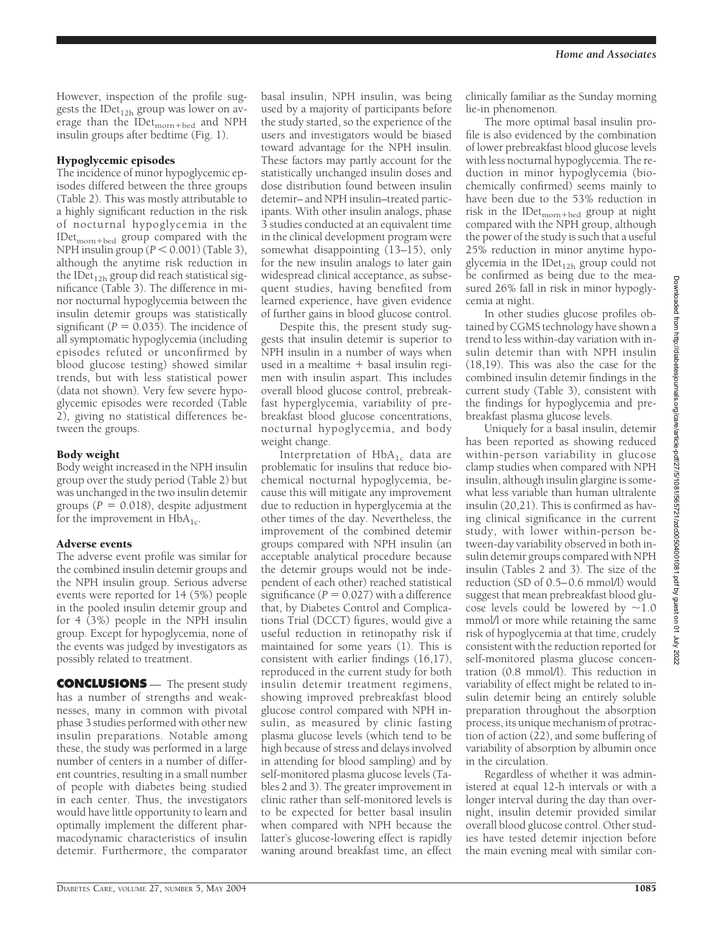However, inspection of the profile suggests the IDet<sub>12h</sub> group was lower on average than the IDet<sub>morn+bed</sub> and NPH insulin groups after bedtime (Fig. 1).

# Hypoglycemic episodes

The incidence of minor hypoglycemic episodes differed between the three groups (Table 2). This was mostly attributable to a highly significant reduction in the risk of nocturnal hypoglycemia in the IDetmorn-bed group compared with the NPH insulin group  $(P < 0.001)$  (Table 3), although the anytime risk reduction in the IDet<sub>12h</sub> group did reach statistical significance (Table 3). The difference in minor nocturnal hypoglycemia between the insulin detemir groups was statistically significant ( $P = 0.035$ ). The incidence of all symptomatic hypoglycemia (including episodes refuted or unconfirmed by blood glucose testing) showed similar trends, but with less statistical power (data not shown). Very few severe hypoglycemic episodes were recorded (Table 2), giving no statistical differences between the groups.

#### Body weight

Body weight increased in the NPH insulin group over the study period (Table 2) but was unchanged in the two insulin detemir groups ( $P = 0.018$ ), despite adjustment for the improvement in  $H\overline{b}A_{1c}$ .

#### Adverse events

The adverse event profile was similar for the combined insulin detemir groups and the NPH insulin group. Serious adverse events were reported for 14 (5%) people in the pooled insulin detemir group and for 4 (3%) people in the NPH insulin group. Except for hypoglycemia, none of the events was judged by investigators as possibly related to treatment.

**CONCLUSIONS** — The present study has a number of strengths and weaknesses, many in common with pivotal phase 3 studies performed with other new insulin preparations. Notable among these, the study was performed in a large number of centers in a number of different countries, resulting in a small number of people with diabetes being studied in each center. Thus, the investigators would have little opportunity to learn and optimally implement the different pharmacodynamic characteristics of insulin detemir. Furthermore, the comparator

basal insulin, NPH insulin, was being used by a majority of participants before the study started, so the experience of the users and investigators would be biased toward advantage for the NPH insulin. These factors may partly account for the statistically unchanged insulin doses and dose distribution found between insulin detemir– and NPH insulin–treated participants. With other insulin analogs, phase 3 studies conducted at an equivalent time in the clinical development program were somewhat disappointing (13–15), only for the new insulin analogs to later gain widespread clinical acceptance, as subsequent studies, having benefited from learned experience, have given evidence of further gains in blood glucose control.

Despite this, the present study suggests that insulin detemir is superior to NPH insulin in a number of ways when used in a mealtime + basal insulin regimen with insulin aspart. This includes overall blood glucose control, prebreakfast hyperglycemia, variability of prebreakfast blood glucose concentrations, nocturnal hypoglycemia, and body weight change.

Interpretation of  $HbA_{1c}$  data are problematic for insulins that reduce biochemical nocturnal hypoglycemia, because this will mitigate any improvement due to reduction in hyperglycemia at the other times of the day. Nevertheless, the improvement of the combined detemir groups compared with NPH insulin (an acceptable analytical procedure because the detemir groups would not be independent of each other) reached statistical significance  $(P = 0.027)$  with a difference that, by Diabetes Control and Complications Trial (DCCT) figures, would give a useful reduction in retinopathy risk if maintained for some years (1). This is consistent with earlier findings (16,17), reproduced in the current study for both insulin detemir treatment regimens, showing improved prebreakfast blood glucose control compared with NPH insulin, as measured by clinic fasting plasma glucose levels (which tend to be high because of stress and delays involved in attending for blood sampling) and by self-monitored plasma glucose levels (Tables 2 and 3). The greater improvement in clinic rather than self-monitored levels is to be expected for better basal insulin when compared with NPH because the latter's glucose-lowering effect is rapidly waning around breakfast time, an effect

clinically familiar as the Sunday morning lie-in phenomenon.

The more optimal basal insulin profile is also evidenced by the combination of lower prebreakfast blood glucose levels with less nocturnal hypoglycemia. The reduction in minor hypoglycemia (biochemically confirmed) seems mainly to have been due to the 53% reduction in  $\operatorname{risk}$  in the  $\operatorname{IDet}_{\mathrm{morn}+\mathrm{bed}}$  group at  $\operatorname{night}$ compared with the NPH group, although the power of the study is such that a useful 25% reduction in minor anytime hypoglycemia in the IDet<sub>12h</sub> group could not be confirmed as being due to the measured 26% fall in risk in minor hypoglycemia at night.

In other studies glucose profiles obtained by CGMS technology have shown a trend to less within-day variation with insulin detemir than with NPH insulin (18,19). This was also the case for the combined insulin detemir findings in the current study (Table 3), consistent with the findings for hypoglycemia and prebreakfast plasma glucose levels.

Uniquely for a basal insulin, detemir has been reported as showing reduced within-person variability in glucose clamp studies when compared with NPH insulin, although insulin glargine is somewhat less variable than human ultralente insulin (20,21). This is confirmed as having clinical significance in the current study, with lower within-person between-day variability observed in both insulin detemir groups compared with NPH insulin (Tables 2 and 3). The size of the reduction (SD of 0.5–0.6 mmol/l) would suggest that mean prebreakfast blood glucose levels could be lowered by  $\sim$ 1.0 mmol/l or more while retaining the same risk of hypoglycemia at that time, crudely consistent with the reduction reported for self-monitored plasma glucose concentration (0.8 mmol/l). This reduction in variability of effect might be related to insulin detemir being an entirely soluble preparation throughout the absorption process, its unique mechanism of protraction of action (22), and some buffering of variability of absorption by albumin once in the circulation.

Regardless of whether it was administered at equal 12-h intervals or with a longer interval during the day than overnight, insulin detemir provided similar overall blood glucose control. Other studies have tested detemir injection before the main evening meal with similar con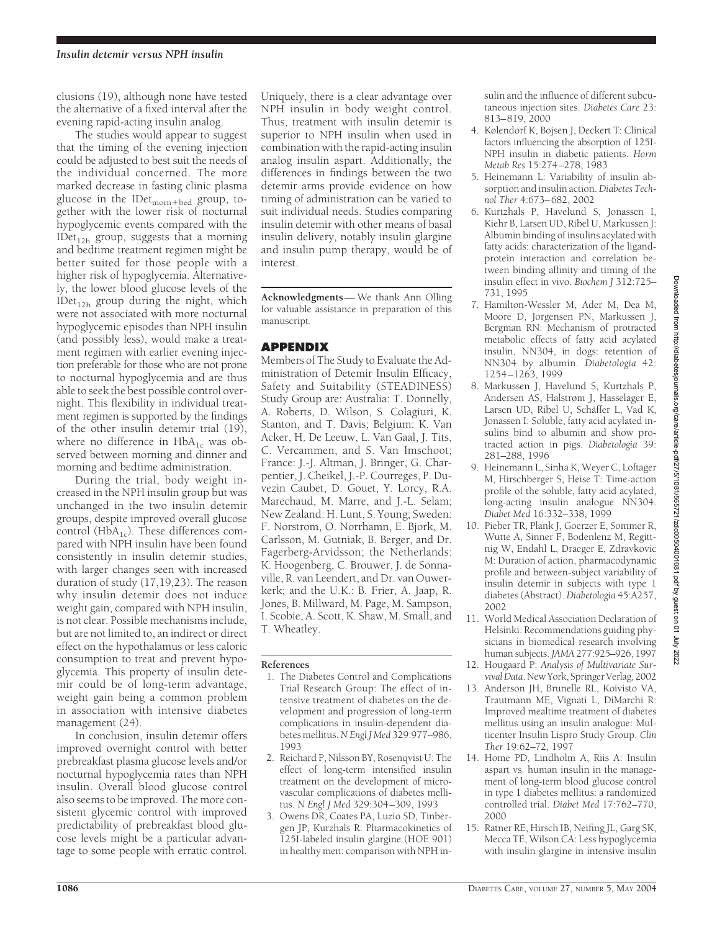clusions (19), although none have tested the alternative of a fixed interval after the evening rapid-acting insulin analog.

The studies would appear to suggest that the timing of the evening injection could be adjusted to best suit the needs of the individual concerned. The more marked decrease in fasting clinic plasma glucose in the IDet<sub>morn+bed</sub> group, together with the lower risk of nocturnal hypoglycemic events compared with the IDet<sub>12h</sub> group, suggests that a morning and bedtime treatment regimen might be better suited for those people with a higher risk of hypoglycemia. Alternatively, the lower blood glucose levels of the IDet<sub>12h</sub> group during the night, which were not associated with more nocturnal hypoglycemic episodes than NPH insulin (and possibly less), would make a treatment regimen with earlier evening injection preferable for those who are not prone to nocturnal hypoglycemia and are thus able to seek the best possible control overnight. This flexibility in individual treatment regimen is supported by the findings of the other insulin detemir trial (19), where no difference in HbA<sub>1c</sub> was observed between morning and dinner and morning and bedtime administration.

During the trial, body weight increased in the NPH insulin group but was unchanged in the two insulin detemir groups, despite improved overall glucose control ( $HbA_{1c}$ ). These differences compared with NPH insulin have been found consistently in insulin detemir studies, with larger changes seen with increased duration of study (17,19,23). The reason why insulin detemir does not induce weight gain, compared with NPH insulin, is not clear. Possible mechanisms include, but are not limited to, an indirect or direct effect on the hypothalamus or less caloric consumption to treat and prevent hypoglycemia. This property of insulin detemir could be of long-term advantage, weight gain being a common problem in association with intensive diabetes management (24).

In conclusion, insulin detemir offers improved overnight control with better prebreakfast plasma glucose levels and/or nocturnal hypoglycemia rates than NPH insulin. Overall blood glucose control also seems to be improved. The more consistent glycemic control with improved predictability of prebreakfast blood glucose levels might be a particular advantage to some people with erratic control.

Uniquely, there is a clear advantage over NPH insulin in body weight control. Thus, treatment with insulin detemir is superior to NPH insulin when used in combination with the rapid-acting insulin analog insulin aspart. Additionally, the differences in findings between the two detemir arms provide evidence on how timing of administration can be varied to suit individual needs. Studies comparing insulin detemir with other means of basal insulin delivery, notably insulin glargine and insulin pump therapy, would be of interest.

**Acknowledgments**— We thank Ann Olling for valuable assistance in preparation of this manuscript.

# **APPENDIX**

Members of The Study to Evaluate the Administration of Detemir Insulin Efficacy, Safety and Suitability (STEADINESS) Study Group are: Australia: T. Donnelly, A. Roberts, D. Wilson, S. Colagiuri, K. Stanton, and T. Davis; Belgium: K. Van Acker, H. De Leeuw, L. Van Gaal, J. Tits, C. Vercammen, and S. Van Imschoot; France: J.-J. Altman, J. Bringer, G. Charpentier, J. Cheikel, J.-P. Courreges, P. Duvezin Caubet, D. Gouet, Y. Lorcy, R.A. Marechaud, M. Marre, and J.-L. Selam; New Zealand: H. Lunt, S. Young; Sweden: F. Norstrom, O. Norrhamn, E. Bjork, M. Carlsson, M. Gutniak, B. Berger, and Dr. Fagerberg-Arvidsson; the Netherlands: K. Hoogenberg, C. Brouwer, J. de Sonnaville, R. van Leendert, and Dr. van Ouwerkerk; and the U.K.: B. Frier, A. Jaap, R. Jones, B. Millward, M. Page, M. Sampson, I. Scobie, A. Scott, K. Shaw, M. Small, and T. Wheatley.

#### **References**

- 1. The Diabetes Control and Complications Trial Research Group: The effect of intensive treatment of diabetes on the development and progression of long-term complications in insulin-dependent diabetes mellitus.*N Engl J Med* 329:977–986, 1993
- 2. Reichard P, Nilsson BY, Rosenqvist U: The effect of long-term intensified insulin treatment on the development of microvascular complications of diabetes mellitus. *N Engl J Med* 329:304–309, 1993
- 3. Owens DR, Coates PA, Luzio SD, Tinbergen JP, Kurzhals R: Pharmacokinetics of 125I-labeled insulin glargine (HOE 901) in healthy men: comparison with NPH in-

sulin and the influence of different subcutaneous injection sites. *Diabetes Care* 23: 813–819, 2000

- 4. Kølendorf K, Bojsen J, Deckert T: Clinical factors influencing the absorption of 125I-NPH insulin in diabetic patients. *Horm Metab Res* 15:274–278, 1983
- 5. Heinemann L: Variability of insulin absorption and insulin action.*Diabetes Technol Ther* 4:673–682, 2002
- 6. Kurtzhals P, Havelund S, Jonassen I, Kiehr B, Larsen UD, Ribel U, Markussen J: Albumin binding of insulins acylated with fatty acids: characterization of the ligandprotein interaction and correlation between binding affinity and timing of the insulin effect in vivo. *Biochem J* 312:725– 731, 1995
- 7. Hamilton-Wessler M, Ader M, Dea M, Moore D, Jorgensen PN, Markussen J, Bergman RN: Mechanism of protracted metabolic effects of fatty acid acylated insulin, NN304, in dogs: retention of NN304 by albumin. *Diabetologia* 42: 1254 –1263, 1999
- 8. Markussen J, Havelund S, Kurtzhals P, Andersen AS, Halstrøm J, Hasselager E, Larsen UD, Ribel U, Schäffer L, Vad K, Jonassen I: Soluble, fatty acid acylated insulins bind to albumin and show protracted action in pigs. *Diabetologia* 39: 281–288, 1996
- 9. Heinemann L, Sinha K, Weyer C, Loftager M, Hirschberger S, Heise T: Time-action profile of the soluble, fatty acid acylated, long-acting insulin analogue NN304. *Diabet Med* 16:332–338, 1999
- 10. Pieber TR, Plank J, Goerzer E, Sommer R, Wutte A, Sinner F, Bodenlenz M, Regittnig W, Endahl L, Draeger E, Zdravkovic M: Duration of action, pharmacodynamic profile and between-subject variability of insulin detemir in subjects with type 1 diabetes (Abstract). *Diabetologia* 45:A257, 2002
- 11. World Medical Association Declaration of Helsinki: Recommendations guiding physicians in biomedical research involving human subjects. *JAMA* 277:925–926, 1997
- 12. Hougaard P: *Analysis of Multivariate Sur*vival Data. New York, Springer Verlag, 2002
- 13. Anderson JH, Brunelle RL, Koivisto VA, Trautmann ME, Vignati L, DiMarchi R: Improved mealtime treatment of diabetes mellitus using an insulin analogue: Multicenter Insulin Lispro Study Group. *Clin Ther* 19:62–72, 1997
- 14. Home PD, Lindholm A, Riis A: Insulin aspart vs. human insulin in the management of long-term blood glucose control in type 1 diabetes mellitus: a randomized controlled trial. *Diabet Med* 17:762–770, 2000
- 15. Ratner RE, Hirsch IB, Neifing JL, Garg SK, Mecca TE, Wilson CA: Less hypoglycemia with insulin glargine in intensive insulin